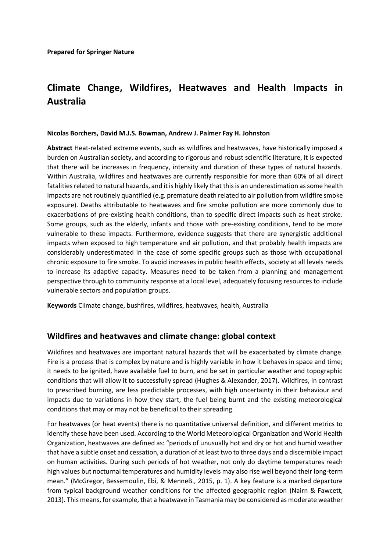# **Climate Change, Wildfires, Heatwaves and Health Impacts in Australia**

#### **Nicolas Borchers, David M.J.S. Bowman, Andrew J. Palmer Fay H. Johnston**

**Abstract** Heat-related extreme events, such as wildfires and heatwaves, have historically imposed a burden on Australian society, and according to rigorous and robust scientific literature, it is expected that there will be increases in frequency, intensity and duration of these types of natural hazards. Within Australia, wildfires and heatwaves are currently responsible for more than 60% of all direct fatalities related to natural hazards, and it is highly likely that this is an underestimation as some health impacts are not routinely quantified (e.g. premature death related to air pollution from wildfire smoke exposure). Deaths attributable to heatwaves and fire smoke pollution are more commonly due to exacerbations of pre-existing health conditions, than to specific direct impacts such as heat stroke. Some groups, such as the elderly, infants and those with pre-existing conditions, tend to be more vulnerable to these impacts. Furthermore, evidence suggests that there are synergistic additional impacts when exposed to high temperature and air pollution, and that probably health impacts are considerably underestimated in the case of some specific groups such as those with occupational chronic exposure to fire smoke. To avoid increases in public health effects, society at all levels needs to increase its adaptive capacity. Measures need to be taken from a planning and management perspective through to community response at a local level, adequately focusing resources to include vulnerable sectors and population groups.

**Keywords** Climate change, bushfires, wildfires, heatwaves, health, Australia

#### **Wildfires and heatwaves and climate change: global context**

Wildfires and heatwaves are important natural hazards that will be exacerbated by climate change. Fire is a process that is complex by nature and is highly variable in how it behaves in space and time; it needs to be ignited, have available fuel to burn, and be set in particular weather and topographic conditions that will allow it to successfully spread (Hughes & Alexander, 2017). Wildfires, in contrast to prescribed burning, are less predictable processes, with high uncertainty in their behaviour and impacts due to variations in how they start, the fuel being burnt and the existing meteorological conditions that may or may not be beneficial to their spreading.

For heatwaves (or heat events) there is no quantitative universal definition, and different metrics to identify these have been used. According to the World Meteorological Organization and World Health Organization, heatwaves are defined as: "periods of unusually hot and dry or hot and humid weather that have a subtle onset and cessation, a duration of at least two to three days and a discernible impact on human activities. During such periods of hot weather, not only do daytime temperatures reach high values but nocturnal temperatures and humidity levels may also rise well beyond their long-term mean." (McGregor, Bessemoulin, Ebi, & MenneB., 2015, p. 1). A key feature is a marked departure from typical background weather conditions for the affected geographic region (Nairn & Fawcett, 2013). This means, for example, that a heatwave in Tasmania may be considered as moderate weather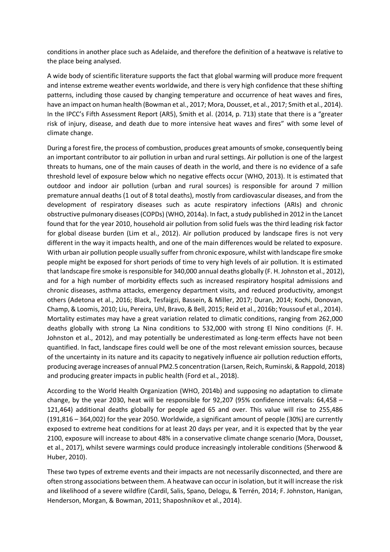conditions in another place such as Adelaide, and therefore the definition of a heatwave is relative to the place being analysed.

A wide body of scientific literature supports the fact that global warming will produce more frequent and intense extreme weather events worldwide, and there is very high confidence that these shifting patterns, including those caused by changing temperature and occurrence of heat waves and fires, have an impact on human health (Bowman et al., 2017; Mora, Dousset, et al., 2017; Smith et al., 2014). In the IPCC's Fifth Assessment Report (AR5), Smith et al. (2014, p. 713) state that there is a "greater risk of injury, disease, and death due to more intensive heat waves and fires" with some level of climate change.

During a forest fire, the process of combustion, produces great amounts of smoke, consequently being an important contributor to air pollution in urban and rural settings. Air pollution is one of the largest threats to humans, one of the main causes of death in the world, and there is no evidence of a safe threshold level of exposure below which no negative effects occur (WHO, 2013). It is estimated that outdoor and indoor air pollution (urban and rural sources) is responsible for around 7 million premature annual deaths (1 out of 8 total deaths), mostly from cardiovascular diseases, and from the development of respiratory diseases such as acute respiratory infections (ARIs) and chronic obstructive pulmonary diseases (COPDs) (WHO, 2014a). In fact, a study published in 2012 in the Lancet found that for the year 2010, household air pollution from solid fuels was the third leading risk factor for global disease burden (Lim et al., 2012). Air pollution produced by landscape fires is not very different in the way it impacts health, and one of the main differences would be related to exposure. With urban air pollution people usually suffer from chronic exposure, whilst with landscape fire smoke people might be exposed for short periods of time to very high levels of air pollution. It is estimated that landscape fire smoke is responsible for 340,000 annual deaths globally (F. H. Johnston et al., 2012), and for a high number of morbidity effects such as increased respiratory hospital admissions and chronic diseases, asthma attacks, emergency department visits, and reduced productivity, amongst others (Adetona et al., 2016; Black, Tesfaigzi, Bassein, & Miller, 2017; Duran, 2014; Kochi, Donovan, Champ, & Loomis, 2010; Liu, Pereira, Uhl, Bravo, & Bell, 2015; Reid et al., 2016b; Youssouf et al., 2014). Mortality estimates may have a great variation related to climatic conditions, ranging from 262,000 deaths globally with strong La Nina conditions to 532,000 with strong El Nino conditions (F. H. Johnston et al., 2012), and may potentially be underestimated as long-term effects have not been quantified. In fact, landscape fires could well be one of the most relevant emission sources, because of the uncertainty in its nature and its capacity to negatively influence air pollution reduction efforts, producing average increases of annual PM2.5 concentration (Larsen, Reich, Ruminski, & Rappold, 2018) and producing greater impacts in public health (Ford et al., 2018).

According to the World Health Organization (WHO, 2014b) and supposing no adaptation to climate change, by the year 2030, heat will be responsible for 92,207 (95% confidence intervals: 64,458 – 121,464) additional deaths globally for people aged 65 and over. This value will rise to 255,486 (191,816 – 364,002) for the year 2050. Worldwide, a significant amount of people (30%) are currently exposed to extreme heat conditions for at least 20 days per year, and it is expected that by the year 2100, exposure will increase to about 48% in a conservative climate change scenario (Mora, Dousset, et al., 2017), whilst severe warmings could produce increasingly intolerable conditions (Sherwood & Huber, 2010).

These two types of extreme events and their impacts are not necessarily disconnected, and there are often strong associations between them. A heatwave can occur in isolation, but it will increase the risk and likelihood of a severe wildfire (Cardil, Salis, Spano, Delogu, & Terrén, 2014; F. Johnston, Hanigan, Henderson, Morgan, & Bowman, 2011; Shaposhnikov et al., 2014).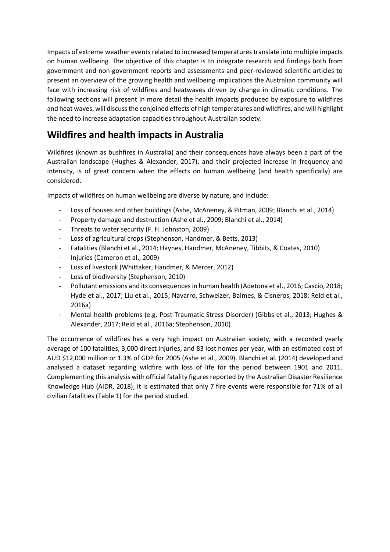<span id="page-2-0"></span>Impacts of extreme weather events related to increased temperatures translate into multiple impacts on human wellbeing. The objective of this chapter is to integrate research and findings both from government and non-government reports and assessments and peer-reviewed scientific articles to present an overview of the growing health and wellbeing implications the Australian community will face with increasing risk of wildfires and heatwaves driven by change in climatic conditions. The following sections will present in more detail the health impacts produced by exposure to wildfires and heat waves, will discuss the conjoined effects of high temperatures and wildfires, and will highlight the need to increase adaptation capacities throughout Australian society.

## **Wildfires and health impacts in Australia**

Wildfires (known as bushfires in Australia) and their consequences have always been a part of the Australian landscape (Hughes & Alexander, 2017), and their projected increase in frequency and intensity, is of great concern when the effects on human wellbeing (and health specifically) are considered.

Impacts of wildfires on human wellbeing are diverse by nature, and include:

- Loss of houses and other buildings (Ashe, McAneney, & Pitman, 2009; Blanchi et al., 2014)
- Property damage and destruction (Ashe et al., 2009; Blanchi et al., 2014)
- Threats to water security (F. H. Johnston, 2009)
- Loss of agricultural crops (Stephenson, Handmer, & Betts, 2013)
- Fatalities (Blanchi et al., 2014; Haynes, Handmer, McAneney, Tibbits, & Coates, 2010)
- Injuries (Cameron et al., 2009)
- Loss of livestock (Whittaker, Handmer, & Mercer, 2012)
- Loss of biodiversity (Stephenson, 2010)
- Pollutant emissions and its consequences in human health (Adetona et al., 2016; Cascio, 2018; Hyde et al., 2017; Liu et al., 2015; Navarro, Schweizer, Balmes, & Cisneros, 2018; Reid et al., 2016a)
- Mental health problems (e.g. Post-Traumatic Stress Disorder) (Gibbs et al., 2013; Hughes & Alexander, 2017; Reid et al., 2016a; Stephenson, 2010)

The occurrence of wildfires has a very high impact on Australian society, with a recorded yearly average of 100 fatalities, 3,000 direct injuries, and 83 lost homes per year, with an estimated cost of AUD \$12,000 million or 1.3% of GDP for 2005 (Ashe et al., 2009). Blanchi et al. (2014) developed and analysed a dataset regarding wildfire with loss of life for the period between 1901 and 2011. Complementing this analysis with official fatality figures reported by the Australian Disaster Resilience Knowledge Hub (AIDR, 2018), it is estimated that only 7 fire events were responsible for 71% of all civilian fatalities [\(Table 1\)](#page-2-0) for the period studied.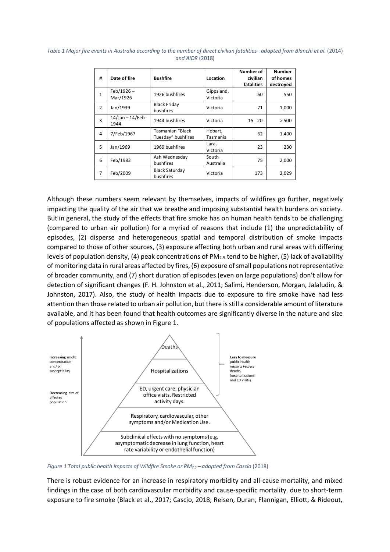| #             | Date of fire             | <b>Bushfire</b>                        | Location               | Number of<br>civilian<br>fatalities | <b>Number</b><br>of homes<br>destroyed |
|---------------|--------------------------|----------------------------------------|------------------------|-------------------------------------|----------------------------------------|
| 1             | $Feb/1926 -$<br>Mar/1926 | 1926 bushfires                         | Gippsland,<br>Victoria | 60                                  | 550                                    |
| $\mathcal{P}$ | Jan/1939                 | <b>Black Friday</b><br>bushfires       | Victoria               | 71                                  | 1,000                                  |
| 3             | 14/Jan - 14/Feb<br>1944  | 1944 bushfires                         | Victoria               | $15 - 20$                           | > 500                                  |
| 4             | 7/Feb/1967               | Tasmanian "Black<br>Tuesday" bushfires | Hobart,<br>Tasmania    | 62                                  | 1,400                                  |
| 5             | Jan/1969                 | 1969 bushfires                         | Lara,<br>Victoria      | 23                                  | 230                                    |
| 6             | Feb/1983                 | Ash Wednesday<br>bushfires             | South<br>Australia     | 75                                  | 2,000                                  |
| 7             | Feb/2009                 | <b>Black Saturday</b><br>bushfires     | Victoria               | 173                                 | 2,029                                  |

*Table 1 Major fire events in Australia according to the number of direct civilian fatalities– adapted from Blanchi et al.* (2014) *and AIDR* (2018)

Although these numbers seem relevant by themselves, impacts of wildfires go further, negatively impacting the quality of the air that we breathe and imposing substantial health burdens on society. But in general, the study of the effects that fire smoke has on human health tends to be challenging (compared to urban air pollution) for a myriad of reasons that include (1) the unpredictability of episodes, (2) disperse and heterogeneous spatial and temporal distribution of smoke impacts compared to those of other sources, (3) exposure affecting both urban and rural areas with differing levels of population density, (4) peak concentrations of  $PM_{2.5}$  tend to be higher, (5) lack of availability of monitoring data in rural areas affected by fires, (6) exposure of small populations not representative of broader community, and (7) short duration of episodes (even on large populations) don't allow for detection of significant changes (F. H. Johnston et al., 2011; Salimi, Henderson, Morgan, Jalaludin, & Johnston, 2017). Also, the study of health impacts due to exposure to fire smoke have had less attention than those related to urban air pollution, but there is still a considerable amount of literature available, and it has been found that health outcomes are significantly diverse in the nature and size of populations affected as shown in [Figure 1.](#page-3-0)



<span id="page-3-0"></span>*Figure 1 Total public health impacts of Wildfire Smoke or PM2.5 – adapted from Cascio* (2018)

There is robust evidence for an increase in respiratory morbidity and all-cause mortality, and mixed findings in the case of both cardiovascular morbidity and cause-specific mortality. due to short-term exposure to fire smoke (Black et al., 2017; Cascio, 2018; Reisen, Duran, Flannigan, Elliott, & Rideout,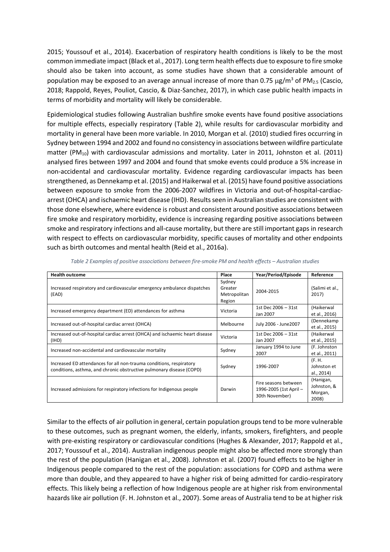2015; Youssouf et al., 2014). Exacerbation of respiratory health conditions is likely to be the most common immediate impact (Black et al., 2017). Long term health effects due to exposure to fire smoke should also be taken into account, as some studies have shown that a considerable amount of population may be exposed to an average annual increase of more than 0.75  $\mu$ g/m<sup>3</sup> of PM<sub>2.5</sub> (Cascio, 2018; Rappold, Reyes, Pouliot, Cascio, & Diaz-Sanchez, 2017), in which case public health impacts in terms of morbidity and mortality will likely be considerable.

Epidemiological studies following Australian bushfire smoke events have found positive associations for multiple effects, especially respiratory [\(Table 2\)](#page-4-0), while results for cardiovascular morbidity and mortality in general have been more variable. In 2010, Morgan et al. (2010) studied fires occurring in Sydney between 1994 and 2002 and found no consistency in associations between wildfire particulate matter (PM<sub>10</sub>) with cardiovascular admissions and mortality. Later in 2011, Johnston et al. (2011) analysed fires between 1997 and 2004 and found that smoke events could produce a 5% increase in non-accidental and cardiovascular mortality. Evidence regarding cardiovascular impacts has been strengthened, as Dennekamp et al. (2015) and Haikerwal et al. (2015) have found positive associations between exposure to smoke from the 2006-2007 wildfires in Victoria and out-of-hospital-cardiacarrest (OHCA) and ischaemic heart disease (IHD). Results seen in Australian studies are consistent with those done elsewhere, where evidence is robust and consistent around positive associations between fire smoke and respiratory morbidity, evidence is increasing regarding positive associations between smoke and respiratory infections and all-cause mortality, but there are still important gaps in research with respect to effects on cardiovascular morbidity, specific causes of mortality and other endpoints such as birth outcomes and mental health (Reid et al., 2016a).

<span id="page-4-0"></span>

| <b>Health outcome</b>                                                                                                                       | Place                                       | Year/Period/Episode                                              | Reference                                    |
|---------------------------------------------------------------------------------------------------------------------------------------------|---------------------------------------------|------------------------------------------------------------------|----------------------------------------------|
| Increased respiratory and cardiovascular emergency ambulance dispatches<br>(EAD)                                                            | Sydney<br>Greater<br>Metropolitan<br>Region | 2004-2015                                                        | (Salimi et al.,<br>2017)                     |
| Increased emergency department (ED) attendances for asthma                                                                                  | Victoria                                    | 1st Dec 2006 - 31st<br>Jan 2007                                  | (Haikerwal<br>et al., 2016)                  |
| Increased out-of-hospital cardiac arrest (OHCA)                                                                                             | Melbourne                                   | July 2006 - June2007                                             | (Dennekamp<br>et al., 2015)                  |
| Increased out-of-hospital cardiac arrest (OHCA) and ischaemic heart disease<br>(IHD)                                                        | Victoria                                    | 1st Dec 2006 - 31st<br>Jan 2007                                  | (Haikerwal<br>et al., 2015)                  |
| Increased non-accidental and cardiovascular mortality                                                                                       | Sydney                                      | January 1994 to June<br>2007                                     | (F. Johnston<br>et al., 2011)                |
| Increased ED attendances for all non-trauma conditions, respiratory<br>conditions, asthma, and chronic obstructive pulmonary disease (COPD) | Sydney                                      | 1996-2007                                                        | (F. H.<br>Johnston et<br>al., 2014)          |
| Increased admissions for respiratory infections for Indigenous people                                                                       | Darwin                                      | Fire seasons between<br>1996-2005 (1st April -<br>30th November) | (Hanigan,<br>Johnston, &<br>Morgan,<br>2008) |

*Table 2 Examples of positive associations between fire-smoke PM and health effects – Australian studies*

Similar to the effects of air pollution in general, certain population groups tend to be more vulnerable to these outcomes, such as pregnant women, the elderly, infants, smokers, firefighters, and people with pre-existing respiratory or cardiovascular conditions (Hughes & Alexander, 2017; Rappold et al., 2017; Youssouf et al., 2014). Australian indigenous people might also be affected more strongly than the rest of the population (Hanigan et al., 2008). Johnston et al. (2007) found effects to be higher in Indigenous people compared to the rest of the population: associations for COPD and asthma were more than double, and they appeared to have a higher risk of being admitted for cardio-respiratory effects. This likely being a reflection of how Indigenous people are at higher risk from environmental hazards like air pollution (F. H. Johnston et al., 2007). Some areas of Australia tend to be at higher risk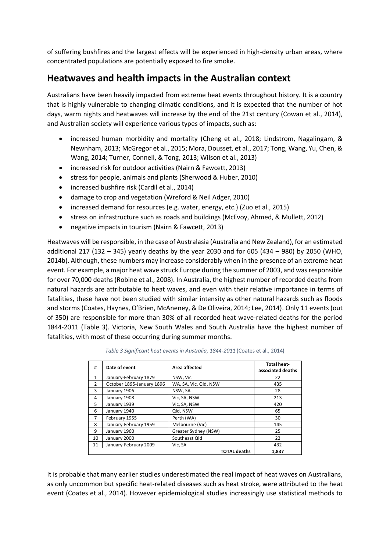of suffering bushfires and the largest effects will be experienced in high-density urban areas, where concentrated populations are potentially exposed to fire smoke.

#### **Heatwaves and health impacts in the Australian context**

Australians have been heavily impacted from extreme heat events throughout history. It is a country that is highly vulnerable to changing climatic conditions, and it is expected that the number of hot days, warm nights and heatwaves will increase by the end of the 21st century (Cowan et al., 2014), and Australian society will experience various types of impacts, such as:

- increased human morbidity and mortality (Cheng et al., 2018; Lindstrom, Nagalingam, & Newnham, 2013; McGregor et al., 2015; Mora, Dousset, et al., 2017; Tong, Wang, Yu, Chen, & Wang, 2014; Turner, Connell, & Tong, 2013; Wilson et al., 2013)
- increased risk for outdoor activities (Nairn & Fawcett, 2013)
- stress for people, animals and plants (Sherwood & Huber, 2010)
- increased bushfire risk (Cardil et al., 2014)
- damage to crop and vegetation (Wreford & Neil Adger, 2010)
- increased demand for resources (e.g. water, energy, etc.) (Zuo et al., 2015)
- stress on infrastructure such as roads and buildings (McEvoy, Ahmed, & Mullett, 2012)
- negative impacts in tourism (Nairn & Fawcett, 2013)

Heatwaves will be responsible, in the case of Australasia (Australia and New Zealand), for an estimated additional 217 (132 – 345) yearly deaths by the year 2030 and for 605 (434 – 980) by 2050 (WHO, 2014b). Although, these numbers may increase considerably when in the presence of an extreme heat event. For example, a major heat wave struck Europe during the summer of 2003, and was responsible for over 70,000 deaths (Robine et al., 2008). In Australia, the highest number of recorded deaths from natural hazards are attributable to heat waves, and even with their relative importance in terms of fatalities, these have not been studied with similar intensity as other natural hazards such as floods and storms (Coates, Haynes, O'Brien, McAneney, & De Oliveira, 2014; Lee, 2014). Only 11 events (out of 350) are responsible for more than 30% of all recorded heat wave-related deaths for the period 1844-2011 [\(Table 3\)](#page-5-0). Victoria, New South Wales and South Australia have the highest number of fatalities, with most of these occurring during summer months.

<span id="page-5-0"></span>

| #              | Date of event             | Area affected         | <b>Total heat-</b><br>associated deaths |
|----------------|---------------------------|-----------------------|-----------------------------------------|
| 1              | January-February 1879     | NSW, Vic              | 22                                      |
| $\overline{2}$ | October 1895-January 1896 | WA, SA, Vic, Qld, NSW | 435                                     |
| 3              | January 1906              | NSW, SA               | 28                                      |
| 4              | January 1908              | Vic, SA, NSW          | 213                                     |
| 5              | January 1939              | Vic, SA, NSW          | 420                                     |
| 6              | January 1940              | Qld, NSW              | 65                                      |
| 7              | February 1955             | Perth (WA)            | 30                                      |
| 8              | January-February 1959     | Melbourne (Vic)       | 145                                     |
| 9              | January 1960              | Greater Sydney (NSW)  | 25                                      |
| 10             | January 2000              | Southeast Qld         | 22                                      |
| 11             | January-February 2009     | Vic, SA               | 432                                     |
|                |                           | <b>TOTAL deaths</b>   | 1,837                                   |

*Table 3 Significant heat events in Australia, 1844-2011* (Coates et al., 2014)

It is probable that many earlier studies underestimated the real impact of heat waves on Australians, as only uncommon but specific heat-related diseases such as heat stroke, were attributed to the heat event (Coates et al., 2014). However epidemiological studies increasingly use statistical methods to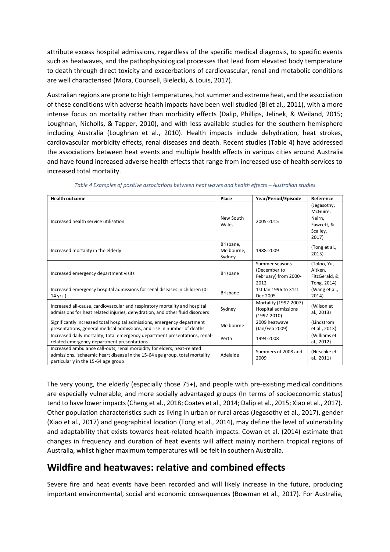attribute excess hospital admissions, regardless of the specific medical diagnosis, to specific events such as heatwaves, and the pathophysiological processes that lead from elevated body temperature to death through direct toxicity and exacerbations of cardiovascular, renal and metabolic conditions are well characterised (Mora, Counsell, Bielecki, & Louis, 2017).

Australian regions are prone to high temperatures, hot summer and extreme heat, and the association of these conditions with adverse health impacts have been well studied (Bi et al., 2011), with a more intense focus on mortality rather than morbidity effects (Dalip, Phillips, Jelinek, & Weiland, 2015; Loughnan, Nicholls, & Tapper, 2010), and with less available studies for the southern hemisphere including Australia (Loughnan et al., 2010). Health impacts include dehydration, heat strokes, cardiovascular morbidity effects, renal diseases and death. Recent studies [\(Table 4\)](#page-6-0) have addressed the associations between heat events and multiple health effects in various cities around Australia and have found increased adverse health effects that range from increased use of health services to increased total mortality.

<span id="page-6-0"></span>

| <b>Health outcome</b>                                                                                                                                                                         | Place                             | Year/Period/Episode                                             | Reference                                                            |
|-----------------------------------------------------------------------------------------------------------------------------------------------------------------------------------------------|-----------------------------------|-----------------------------------------------------------------|----------------------------------------------------------------------|
| Increased health service utilisation                                                                                                                                                          | New South<br>Wales                | 2005-2015                                                       | (Jegasothy,<br>McGuire.<br>Nairn.<br>Fawcett, &<br>Scalley,<br>2017) |
| Increased mortality in the elderly                                                                                                                                                            | Brisbane,<br>Melbourne,<br>Sydney | 1988-2009                                                       | (Tong et al.,<br>2015)                                               |
| Increased emergency department visits                                                                                                                                                         | <b>Brisbane</b>                   | Summer seasons<br>(December to<br>February) from 2000-<br>2012  | (Toloo, Yu,<br>Aitken,<br>FitzGerald, &<br>Tong, 2014)               |
| Increased emergency hospital admissions for renal diseases in children (0-<br>14 yrs.)                                                                                                        | <b>Brisbane</b>                   | 1st Jan 1996 to 31st<br>Dec 2005                                | (Wang et al.,<br>2014)                                               |
| Increased all-cause, cardiovascular and respiratory mortality and hospital<br>admissions for heat related injuries, dehydration, and other fluid disorders                                    | Sydney                            | Mortality (1997-2007)<br>Hospital admissions<br>$(1997 - 2010)$ | (Wilson et<br>al., 2013)                                             |
| Significantly increased total hospital admissions, emergency department<br>presentations, general medical admissions, and rise in number of deaths                                            | Melbourne                         | 2009 heatwave<br>(Jan/Feb 2009)                                 | (Lindstrom<br>et al., 2013)                                          |
| Increased daily mortality, total emergency department presentations, renal-<br>related emergency department presentations                                                                     | Perth                             | 1994-2008                                                       | (Williams et<br>al., 2012)                                           |
| Increased ambulance call-outs, renal morbidity for elders, heat-related<br>admissions, ischaemic heart disease in the 15-64 age group, total mortality<br>particularly in the 15-64 age group | Adelaide                          | Summers of 2008 and<br>2009                                     | (Nitschke et<br>al., 2011)                                           |

*Table 4 Examples of positive associations between heat waves and health effects – Australian studies*

The very young, the elderly (especially those 75+), and people with pre-existing medical conditions are especially vulnerable, and more socially advantaged groups (In terms of socioeconomic status) tend to have lower impacts (Cheng et al., 2018; Coates et al., 2014; Dalip et al., 2015; Xiao et al., 2017). Other population characteristics such as living in urban or rural areas (Jegasothy et al., 2017), gender (Xiao et al., 2017) and geographical location (Tong et al., 2014), may define the level of vulnerability and adaptability that exists towards heat-related health impacts. Cowan et al. (2014) estimate that changes in frequency and duration of heat events will affect mainly northern tropical regions of Australia, whilst higher maximum temperatures will be felt in southern Australia.

## **Wildfire and heatwaves: relative and combined effects**

Severe fire and heat events have been recorded and will likely increase in the future, producing important environmental, social and economic consequences (Bowman et al., 2017). For Australia,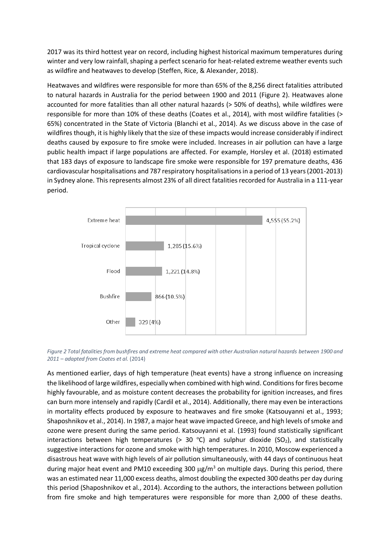2017 was its third hottest year on record, including highest historical maximum temperatures during winter and very low rainfall, shaping a perfect scenario for heat-related extreme weather events such as wildfire and heatwaves to develop (Steffen, Rice, & Alexander, 2018).

Heatwaves and wildfires were responsible for more than 65% of the 8,256 direct fatalities attributed to natural hazards in Australia for the period between 1900 and 2011 [\(Figure 2\)](#page-7-0). Heatwaves alone accounted for more fatalities than all other natural hazards (> 50% of deaths), while wildfires were responsible for more than 10% of these deaths (Coates et al., 2014), with most wildfire fatalities (> 65%) concentrated in the State of Victoria (Blanchi et al., 2014). As we discuss above in the case of wildfires though, it is highly likely that the size of these impacts would increase considerably if indirect deaths caused by exposure to fire smoke were included. Increases in air pollution can have a large public health impact if large populations are affected. For example, Horsley et al. (2018) estimated that 183 days of exposure to landscape fire smoke were responsible for 197 premature deaths, 436 cardiovascular hospitalisations and 787 respiratory hospitalisations in a period of 13 years (2001-2013) in Sydney alone. This represents almost 23% of all direct fatalities recorded for Australia in a 111-year period.



<span id="page-7-0"></span>*Figure 2 Total fatalities from bushfires and extreme heat compared with other Australian natural hazards between 1900 and 2011 – adapted from Coates et al.* (2014)

As mentioned earlier, days of high temperature (heat events) have a strong influence on increasing the likelihood of large wildfires, especially when combined with high wind. Conditions for fires become highly favourable, and as moisture content decreases the probability for ignition increases, and fires can burn more intensely and rapidly (Cardil et al., 2014). Additionally, there may even be interactions in mortality effects produced by exposure to heatwaves and fire smoke (Katsouyanni et al., 1993; Shaposhnikov et al., 2014). In 1987, a major heat wave impacted Greece, and high levels of smoke and ozone were present during the same period. Katsouyanni et al. (1993) found statistically significant interactions between high temperatures (> 30 °C) and sulphur dioxide (SO<sub>2</sub>), and statistically suggestive interactions for ozone and smoke with high temperatures. In 2010, Moscow experienced a disastrous heat wave with high levels of air pollution simultaneously, with 44 days of continuous heat during major heat event and PM10 exceeding 300  $\mu$ g/m<sup>3</sup> on multiple days. During this period, there was an estimated near 11,000 excess deaths, almost doubling the expected 300 deaths per day during this period (Shaposhnikov et al., 2014). According to the authors, the interactions between pollution from fire smoke and high temperatures were responsible for more than 2,000 of these deaths.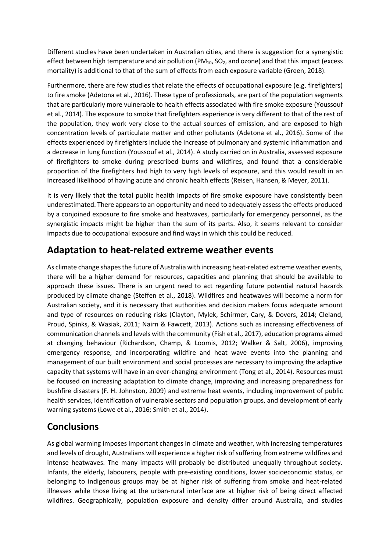Different studies have been undertaken in Australian cities, and there is suggestion for a synergistic effect between high temperature and air pollution ( $PM_{10}$ ,  $SO_2$ , and ozone) and that this impact (excess mortality) is additional to that of the sum of effects from each exposure variable (Green, 2018).

Furthermore, there are few studies that relate the effects of occupational exposure (e.g. firefighters) to fire smoke (Adetona et al., 2016). These type of professionals, are part of the population segments that are particularly more vulnerable to health effects associated with fire smoke exposure (Youssouf et al., 2014). The exposure to smoke that firefighters experience is very different to that of the rest of the population, they work very close to the actual sources of emission, and are exposed to high concentration levels of particulate matter and other pollutants (Adetona et al., 2016). Some of the effects experienced by firefighters include the increase of pulmonary and systemic inflammation and a decrease in lung function (Youssouf et al., 2014). A study carried on in Australia, assessed exposure of firefighters to smoke during prescribed burns and wildfires, and found that a considerable proportion of the firefighters had high to very high levels of exposure, and this would result in an increased likelihood of having acute and chronic health effects (Reisen, Hansen, & Meyer, 2011).

It is very likely that the total public health impacts of fire smoke exposure have consistently been underestimated. There appears to an opportunity and need to adequately assess the effects produced by a conjoined exposure to fire smoke and heatwaves, particularly for emergency personnel, as the synergistic impacts might be higher than the sum of its parts. Also, it seems relevant to consider impacts due to occupational exposure and find ways in which this could be reduced.

## **Adaptation to heat-related extreme weather events**

As climate change shapes the future of Australia with increasing heat-related extreme weather events, there will be a higher demand for resources, capacities and planning that should be available to approach these issues. There is an urgent need to act regarding future potential natural hazards produced by climate change (Steffen et al., 2018). Wildfires and heatwaves will become a norm for Australian society, and it is necessary that authorities and decision makers focus adequate amount and type of resources on reducing risks (Clayton, Mylek, Schirmer, Cary, & Dovers, 2014; Cleland, Proud, Spinks, & Wasiak, 2011; Nairn & Fawcett, 2013). Actions such as increasing effectiveness of communication channels and levels with the community (Fish et al., 2017), education programs aimed at changing behaviour (Richardson, Champ, & Loomis, 2012; Walker & Salt, 2006), improving emergency response, and incorporating wildfire and heat wave events into the planning and management of our built environment and social processes are necessary to improving the adaptive capacity that systems will have in an ever-changing environment (Tong et al., 2014). Resources must be focused on increasing adaptation to climate change, improving and increasing preparedness for bushfire disasters (F. H. Johnston, 2009) and extreme heat events, including improvement of public health services, identification of vulnerable sectors and population groups, and development of early warning systems (Lowe et al., 2016; Smith et al., 2014).

## **Conclusions**

As global warming imposes important changes in climate and weather, with increasing temperatures and levels of drought, Australians will experience a higher risk of suffering from extreme wildfires and intense heatwaves. The many impacts will probably be distributed unequally throughout society. Infants, the elderly, labourers, people with pre-existing conditions, lower socioeconomic status, or belonging to indigenous groups may be at higher risk of suffering from smoke and heat-related illnesses while those living at the urban-rural interface are at higher risk of being direct affected wildfires. Geographically, population exposure and density differ around Australia, and studies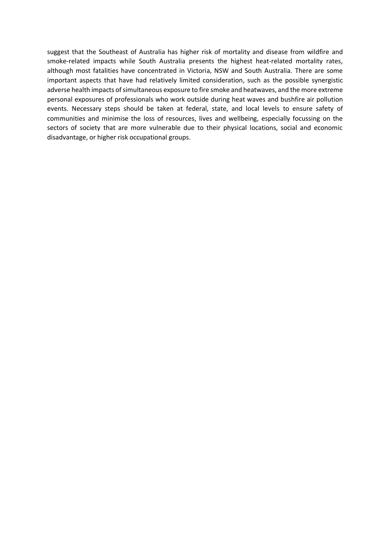suggest that the Southeast of Australia has higher risk of mortality and disease from wildfire and smoke-related impacts while South Australia presents the highest heat-related mortality rates, although most fatalities have concentrated in Victoria, NSW and South Australia. There are some important aspects that have had relatively limited consideration, such as the possible synergistic adverse health impacts of simultaneous exposure to fire smoke and heatwaves, and the more extreme personal exposures of professionals who work outside during heat waves and bushfire air pollution events. Necessary steps should be taken at federal, state, and local levels to ensure safety of communities and minimise the loss of resources, lives and wellbeing, especially focussing on the sectors of society that are more vulnerable due to their physical locations, social and economic disadvantage, or higher risk occupational groups.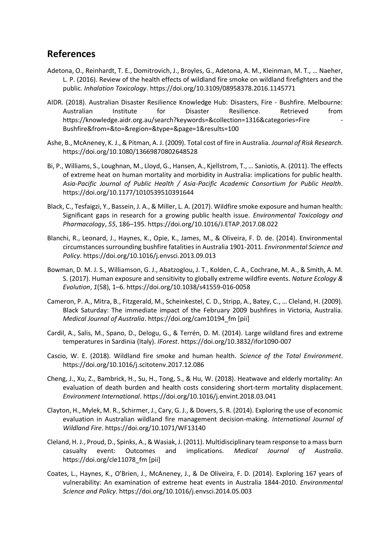#### **References**

- Adetona, O., Reinhardt, T. E., Domitrovich, J., Broyles, G., Adetona, A. M., Kleinman, M. T., … Naeher, L. P. (2016). Review of the health effects of wildland fire smoke on wildland firefighters and the public. *Inhalation Toxicology*. https://doi.org/10.3109/08958378.2016.1145771
- AIDR. (2018). Australian Disaster Resilience Knowledge Hub: Disasters, Fire Bushfire. Melbourne: Australian Institute for Disaster Resilience. Retrieved from https://knowledge.aidr.org.au/search?keywords=&collection=1316&categories=Fire - Bushfire&from=&to=&region=&type=&page=1&results=100
- Ashe, B., McAneney, K. J., & Pitman, A. J. (2009). Total cost of fire in Australia. *Journal of Risk Research*. https://doi.org/10.1080/13669870802648528
- Bi, P., Williams, S., Loughnan, M., Lloyd, G., Hansen, A., Kjellstrom, T., … Saniotis, A. (2011). The effects of extreme heat on human mortality and morbidity in Australia: implications for public health. *Asia-Pacific Journal of Public Health / Asia-Pacific Academic Consortium for Public Health*. https://doi.org/10.1177/1010539510391644
- Black, C., Tesfaigzi, Y., Bassein, J. A., & Miller, L. A. (2017). Wildfire smoke exposure and human health: Significant gaps in research for a growing public health issue. *Environmental Toxicology and Pharmacology*, *55*, 186–195. https://doi.org/10.1016/J.ETAP.2017.08.022
- Blanchi, R., Leonard, J., Haynes, K., Opie, K., James, M., & Oliveira, F. D. de. (2014). Environmental circumstances surrounding bushfire fatalities in Australia 1901-2011. *Environmental Science and Policy*. https://doi.org/10.1016/j.envsci.2013.09.013
- Bowman, D. M. J. S., Williamson, G. J., Abatzoglou, J. T., Kolden, C. A., Cochrane, M. A., & Smith, A. M. S. (2017). Human exposure and sensitivity to globally extreme wildfire events. *Nature Ecology & Evolution*, *1*(58), 1–6. https://doi.org/10.1038/s41559-016-0058
- Cameron, P. A., Mitra, B., Fitzgerald, M., Scheinkestel, C. D., Stripp, A., Batey, C., … Cleland, H. (2009). Black Saturday: The immediate impact of the February 2009 bushfires in Victoria, Australia. *Medical Journal of Australia*. https://doi.org/cam10194\_fm [pii]
- Cardil, A., Salis, M., Spano, D., Delogu, G., & Terrén, D. M. (2014). Large wildland fires and extreme temperatures in Sardinia (Italy). *IForest*. https://doi.org/10.3832/ifor1090-007
- Cascio, W. E. (2018). Wildland fire smoke and human health. *Science of the Total Environment*. https://doi.org/10.1016/j.scitotenv.2017.12.086
- Cheng, J., Xu, Z., Bambrick, H., Su, H., Tong, S., & Hu, W. (2018). Heatwave and elderly mortality: An evaluation of death burden and health costs considering short-term mortality displacement. *Environment International*. https://doi.org/10.1016/j.envint.2018.03.041
- Clayton, H., Mylek, M. R., Schirmer, J., Cary, G. J., & Dovers, S. R. (2014). Exploring the use of economic evaluation in Australian wildland fire management decision-making. *International Journal of Wildland Fire*. https://doi.org/10.1071/WF13140
- Cleland, H. J., Proud, D., Spinks, A., & Wasiak, J. (2011). Multidisciplinary team response to a mass burn casualty event: Outcomes and implications. *Medical Journal of Australia*. https://doi.org/cle11078\_fm [pii]
- Coates, L., Haynes, K., O'Brien, J., McAneney, J., & De Oliveira, F. D. (2014). Exploring 167 years of vulnerability: An examination of extreme heat events in Australia 1844-2010. *Environmental Science and Policy*. https://doi.org/10.1016/j.envsci.2014.05.003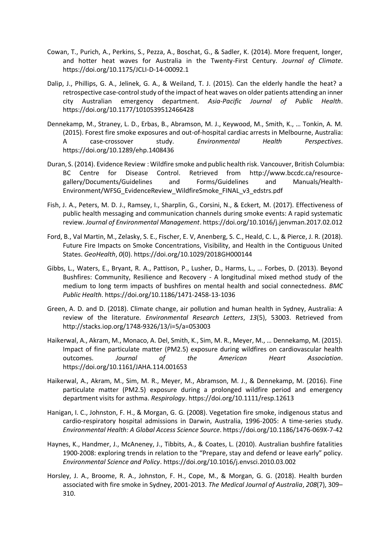- Cowan, T., Purich, A., Perkins, S., Pezza, A., Boschat, G., & Sadler, K. (2014). More frequent, longer, and hotter heat waves for Australia in the Twenty-First Century. *Journal of Climate*. https://doi.org/10.1175/JCLI-D-14-00092.1
- Dalip, J., Phillips, G. A., Jelinek, G. A., & Weiland, T. J. (2015). Can the elderly handle the heat? a retrospective case-control study of the impact of heat waves on older patients attending an inner city Australian emergency department. *Asia-Pacific Journal of Public Health*. https://doi.org/10.1177/1010539512466428
- Dennekamp, M., Straney, L. D., Erbas, B., Abramson, M. J., Keywood, M., Smith, K., … Tonkin, A. M. (2015). Forest fire smoke exposures and out-of-hospital cardiac arrests in Melbourne, Australia: A case-crossover study. *Environmental Health Perspectives*. https://doi.org/10.1289/ehp.1408436
- Duran, S. (2014). Evidence Review : Wildfire smoke and public health risk. Vancouver, British Columbia: BC Centre for Disease Control. Retrieved from http://www.bccdc.ca/resourcegallery/Documents/Guidelines and Forms/Guidelines and Manuals/Health-Environment/WFSG\_EvidenceReview\_WildfireSmoke\_FINAL\_v3\_edstrs.pdf
- Fish, J. A., Peters, M. D. J., Ramsey, I., Sharplin, G., Corsini, N., & Eckert, M. (2017). Effectiveness of public health messaging and communication channels during smoke events: A rapid systematic review. *Journal of Environmental Management*. https://doi.org/10.1016/j.jenvman.2017.02.012
- Ford, B., Val Martin, M., Zelasky, S. E., Fischer, E. V, Anenberg, S. C., Heald, C. L., & Pierce, J. R. (2018). Future Fire Impacts on Smoke Concentrations, Visibility, and Health in the Contiguous United States. *GeoHealth*, *0*(0). https://doi.org/10.1029/2018GH000144
- Gibbs, L., Waters, E., Bryant, R. A., Pattison, P., Lusher, D., Harms, L., … Forbes, D. (2013). Beyond Bushfires: Community, Resilience and Recovery - A longitudinal mixed method study of the medium to long term impacts of bushfires on mental health and social connectedness. *BMC Public Health*. https://doi.org/10.1186/1471-2458-13-1036
- Green, A. D. and D. (2018). Climate change, air pollution and human health in Sydney, Australia: A review of the literature. *Environmental Research Letters*, *13*(5), 53003. Retrieved from http://stacks.iop.org/1748-9326/13/i=5/a=053003
- Haikerwal, A., Akram, M., Monaco, A. Del, Smith, K., Sim, M. R., Meyer, M., … Dennekamp, M. (2015). Impact of fine particulate matter (PM2.5) exposure during wildfires on cardiovascular health outcomes. *Journal of the American Heart Association*. https://doi.org/10.1161/JAHA.114.001653
- Haikerwal, A., Akram, M., Sim, M. R., Meyer, M., Abramson, M. J., & Dennekamp, M. (2016). Fine particulate matter (PM2.5) exposure during a prolonged wildfire period and emergency department visits for asthma. *Respirology*. https://doi.org/10.1111/resp.12613
- Hanigan, I. C., Johnston, F. H., & Morgan, G. G. (2008). Vegetation fire smoke, indigenous status and cardio-respiratory hospital admissions in Darwin, Australia, 1996-2005: A time-series study. *Environmental Health: A Global Access Science Source*. https://doi.org/10.1186/1476-069X-7-42
- Haynes, K., Handmer, J., McAneney, J., Tibbits, A., & Coates, L. (2010). Australian bushfire fatalities 1900-2008: exploring trends in relation to the "Prepare, stay and defend or leave early" policy. *Environmental Science and Policy*. https://doi.org/10.1016/j.envsci.2010.03.002
- Horsley, J. A., Broome, R. A., Johnston, F. H., Cope, M., & Morgan, G. G. (2018). Health burden associated with fire smoke in Sydney, 2001-2013. *The Medical Journal of Australia*, *208*(7), 309– 310.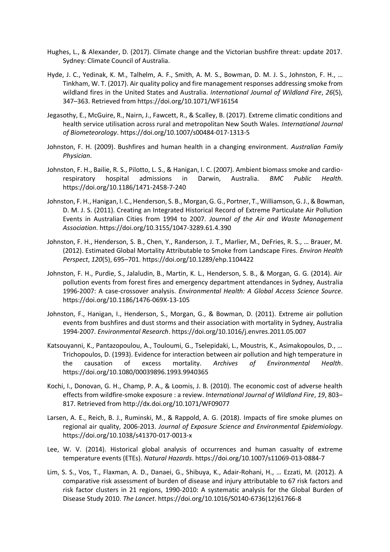- Hughes, L., & Alexander, D. (2017). Climate change and the Victorian bushfire threat: update 2017. Sydney: Climate Council of Australia.
- Hyde, J. C., Yedinak, K. M., Talhelm, A. F., Smith, A. M. S., Bowman, D. M. J. S., Johnston, F. H., … Tinkham, W. T. (2017). Air quality policy and fire management responses addressing smoke from wildland fires in the United States and Australia. *International Journal of Wildland Fire*, *26*(5), 347–363. Retrieved from https://doi.org/10.1071/WF16154
- Jegasothy, E., McGuire, R., Nairn, J., Fawcett, R., & Scalley, B. (2017). Extreme climatic conditions and health service utilisation across rural and metropolitan New South Wales. *International Journal of Biometeorology*. https://doi.org/10.1007/s00484-017-1313-5
- Johnston, F. H. (2009). Bushfires and human health in a changing environment. *Australian Family Physician*.
- Johnston, F. H., Bailie, R. S., Pilotto, L. S., & Hanigan, I. C. (2007). Ambient biomass smoke and cardiorespiratory hospital admissions in Darwin, Australia. *BMC Public Health*. https://doi.org/10.1186/1471-2458-7-240
- Johnston, F. H., Hanigan, I. C., Henderson, S. B., Morgan, G. G., Portner, T., Williamson, G. J., & Bowman, D. M. J. S. (2011). Creating an Integrated Historical Record of Extreme Particulate Air Pollution Events in Australian Cities from 1994 to 2007. *Journal of the Air and Waste Management Association*. https://doi.org/10.3155/1047-3289.61.4.390
- Johnston, F. H., Henderson, S. B., Chen, Y., Randerson, J. T., Marlier, M., DeFries, R. S., … Brauer, M. (2012). Estimated Global Mortality Attributable to Smoke from Landscape Fires. *Environ Health Perspect*, *120*(5), 695–701. https://doi.org/10.1289/ehp.1104422
- Johnston, F. H., Purdie, S., Jalaludin, B., Martin, K. L., Henderson, S. B., & Morgan, G. G. (2014). Air pollution events from forest fires and emergency department attendances in Sydney, Australia 1996-2007: A case-crossover analysis. *Environmental Health: A Global Access Science Source*. https://doi.org/10.1186/1476-069X-13-105
- Johnston, F., Hanigan, I., Henderson, S., Morgan, G., & Bowman, D. (2011). Extreme air pollution events from bushfires and dust storms and their association with mortality in Sydney, Australia 1994-2007. *Environmental Research*. https://doi.org/10.1016/j.envres.2011.05.007
- Katsouyanni, K., Pantazopoulou, A., Touloumi, G., Tselepidaki, L., Moustris, K., Asimakopoulos, D., … Trichopoulos, D. (1993). Evidence for interaction between air pollution and high temperature in the causation of excess mortality. *Archives of Environmental Health*. https://doi.org/10.1080/00039896.1993.9940365
- Kochi, I., Donovan, G. H., Champ, P. A., & Loomis, J. B. (2010). The economic cost of adverse health effects from wildfire-smoke exposure : a review. *International Journal of Wildland Fire*, *19*, 803– 817. Retrieved from http://dx.doi.org/10.1071/WF09077
- Larsen, A. E., Reich, B. J., Ruminski, M., & Rappold, A. G. (2018). Impacts of fire smoke plumes on regional air quality, 2006-2013. *Journal of Exposure Science and Environmental Epidemiology*. https://doi.org/10.1038/s41370-017-0013-x
- Lee, W. V. (2014). Historical global analysis of occurrences and human casualty of extreme temperature events (ETEs). *Natural Hazards*. https://doi.org/10.1007/s11069-013-0884-7
- Lim, S. S., Vos, T., Flaxman, A. D., Danaei, G., Shibuya, K., Adair-Rohani, H., … Ezzati, M. (2012). A comparative risk assessment of burden of disease and injury attributable to 67 risk factors and risk factor clusters in 21 regions, 1990-2010: A systematic analysis for the Global Burden of Disease Study 2010. *The Lancet*. https://doi.org/10.1016/S0140-6736(12)61766-8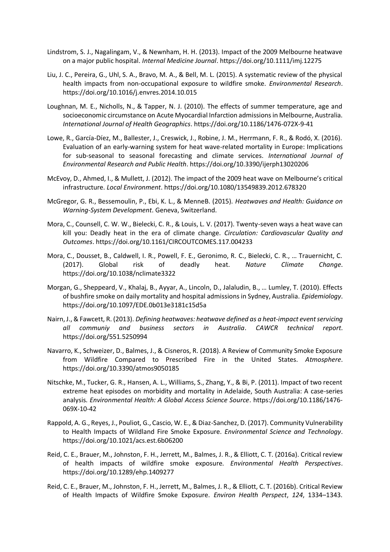- Lindstrom, S. J., Nagalingam, V., & Newnham, H. H. (2013). Impact of the 2009 Melbourne heatwave on a major public hospital. *Internal Medicine Journal*. https://doi.org/10.1111/imj.12275
- Liu, J. C., Pereira, G., Uhl, S. A., Bravo, M. A., & Bell, M. L. (2015). A systematic review of the physical health impacts from non-occupational exposure to wildfire smoke. *Environmental Research*. https://doi.org/10.1016/j.envres.2014.10.015
- Loughnan, M. E., Nicholls, N., & Tapper, N. J. (2010). The effects of summer temperature, age and socioeconomic circumstance on Acute Myocardial Infarction admissions in Melbourne, Australia. *International Journal of Health Geographics*. https://doi.org/10.1186/1476-072X-9-41
- Lowe, R., García-Díez, M., Ballester, J., Creswick, J., Robine, J. M., Herrmann, F. R., & Rodó, X. (2016). Evaluation of an early-warning system for heat wave-related mortality in Europe: Implications for sub-seasonal to seasonal forecasting and climate services. *International Journal of Environmental Research and Public Health*. https://doi.org/10.3390/ijerph13020206
- McEvoy, D., Ahmed, I., & Mullett, J. (2012). The impact of the 2009 heat wave on Melbourne's critical infrastructure. *Local Environment*. https://doi.org/10.1080/13549839.2012.678320
- McGregor, G. R., Bessemoulin, P., Ebi, K. L., & MenneB. (2015). *Heatwaves and Health: Guidance on Warning-System Development*. Geneva, Switzerland.
- Mora, C., Counsell, C. W. W., Bielecki, C. R., & Louis, L. V. (2017). Twenty-seven ways a heat wave can kill you: Deadly heat in the era of climate change. *Circulation: Cardiovascular Quality and Outcomes*. https://doi.org/10.1161/CIRCOUTCOMES.117.004233
- Mora, C., Dousset, B., Caldwell, I. R., Powell, F. E., Geronimo, R. C., Bielecki, C. R., … Trauernicht, C. (2017). Global risk of deadly heat. *Nature Climate Change*. https://doi.org/10.1038/nclimate3322
- Morgan, G., Sheppeard, V., Khalaj, B., Ayyar, A., Lincoln, D., Jalaludin, B., … Lumley, T. (2010). Effects of bushfire smoke on daily mortality and hospital admissions in Sydney, Australia. *Epidemiology*. https://doi.org/10.1097/EDE.0b013e3181c15d5a
- Nairn, J., & Fawcett, R. (2013). *Defining heatwaves: heatwave defined as a heat-impact event servicing all communiy and business sectors in Australia*. *CAWCR technical report*. https://doi.org/551.5250994
- Navarro, K., Schweizer, D., Balmes, J., & Cisneros, R. (2018). A Review of Community Smoke Exposure from Wildfire Compared to Prescribed Fire in the United States. *Atmosphere*. https://doi.org/10.3390/atmos9050185
- Nitschke, M., Tucker, G. R., Hansen, A. L., Williams, S., Zhang, Y., & Bi, P. (2011). Impact of two recent extreme heat episodes on morbidity and mortality in Adelaide, South Australia: A case-series analysis. *Environmental Health: A Global Access Science Source*. https://doi.org/10.1186/1476- 069X-10-42
- Rappold, A. G., Reyes, J., Pouliot, G., Cascio, W. E., & Diaz-Sanchez, D. (2017). Community Vulnerability to Health Impacts of Wildland Fire Smoke Exposure. *Environmental Science and Technology*. https://doi.org/10.1021/acs.est.6b06200
- Reid, C. E., Brauer, M., Johnston, F. H., Jerrett, M., Balmes, J. R., & Elliott, C. T. (2016a). Critical review of health impacts of wildfire smoke exposure. *Environmental Health Perspectives*. https://doi.org/10.1289/ehp.1409277
- Reid, C. E., Brauer, M., Johnston, F. H., Jerrett, M., Balmes, J. R., & Elliott, C. T. (2016b). Critical Review of Health Impacts of Wildfire Smoke Exposure. *Environ Health Perspect*, *124*, 1334–1343.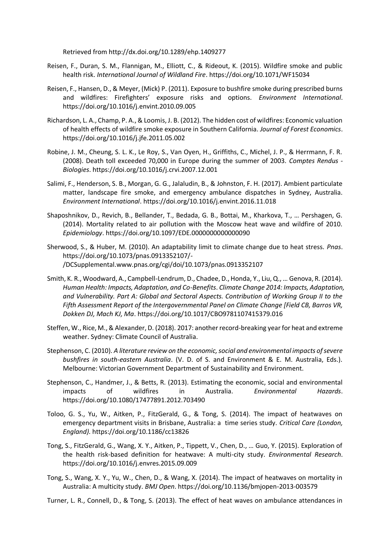Retrieved from http://dx.doi.org/10.1289/ehp.1409277

- Reisen, F., Duran, S. M., Flannigan, M., Elliott, C., & Rideout, K. (2015). Wildfire smoke and public health risk. *International Journal of Wildland Fire*. https://doi.org/10.1071/WF15034
- Reisen, F., Hansen, D., & Meyer, (Mick) P. (2011). Exposure to bushfire smoke during prescribed burns and wildfires: Firefighters' exposure risks and options. *Environment International*. https://doi.org/10.1016/j.envint.2010.09.005
- Richardson, L. A., Champ, P. A., & Loomis, J. B. (2012). The hidden cost of wildfires: Economic valuation of health effects of wildfire smoke exposure in Southern California. *Journal of Forest Economics*. https://doi.org/10.1016/j.jfe.2011.05.002
- Robine, J. M., Cheung, S. L. K., Le Roy, S., Van Oyen, H., Griffiths, C., Michel, J. P., & Herrmann, F. R. (2008). Death toll exceeded 70,000 in Europe during the summer of 2003. *Comptes Rendus - Biologies*. https://doi.org/10.1016/j.crvi.2007.12.001
- Salimi, F., Henderson, S. B., Morgan, G. G., Jalaludin, B., & Johnston, F. H. (2017). Ambient particulate matter, landscape fire smoke, and emergency ambulance dispatches in Sydney, Australia. *Environment International*. https://doi.org/10.1016/j.envint.2016.11.018
- Shaposhnikov, D., Revich, B., Bellander, T., Bedada, G. B., Bottai, M., Kharkova, T., … Pershagen, G. (2014). Mortality related to air pollution with the Moscow heat wave and wildfire of 2010. *Epidemiology*. https://doi.org/10.1097/EDE.0000000000000090
- Sherwood, S., & Huber, M. (2010). An adaptability limit to climate change due to heat stress. *Pnas*. https://doi.org/10.1073/pnas.0913352107/- /DCSupplemental.www.pnas.org/cgi/doi/10.1073/pnas.0913352107
- Smith, K. R., Woodward, A., Campbell-Lendrum, D., Chadee, D., Honda, Y., Liu, Q., … Genova, R. (2014). *Human Health: Impacts, Adaptation, and Co-Benefits*. *Climate Change 2014: Impacts, Adaptation, and Vulnerability. Part A: Global and Sectoral Aspects. Contribution of Working Group II to the Fifth Assessment Report of the Intergovernmental Panel on Climate Change [Field CB, Barros VR, Dokken DJ, Mach KJ, Ma*. https://doi.org/10.1017/CBO9781107415379.016
- Steffen, W., Rice, M., & Alexander, D. (2018). 2017: another record-breaking year for heat and extreme weather. Sydney: Climate Council of Australia.
- Stephenson, C. (2010). *A literature review on the economic, social and environmental impacts of severe bushfires in south-eastern Australia*. (V. D. of S. and Environment & E. M. Australia, Eds.). Melbourne: Victorian Government Department of Sustainability and Environment.
- Stephenson, C., Handmer, J., & Betts, R. (2013). Estimating the economic, social and environmental impacts of wildfires in Australia. *Environmental Hazards*. https://doi.org/10.1080/17477891.2012.703490
- Toloo, G. S., Yu, W., Aitken, P., FitzGerald, G., & Tong, S. (2014). The impact of heatwaves on emergency department visits in Brisbane, Australia: a time series study. *Critical Care (London, England)*. https://doi.org/10.1186/cc13826
- Tong, S., FitzGerald, G., Wang, X. Y., Aitken, P., Tippett, V., Chen, D., … Guo, Y. (2015). Exploration of the health risk-based definition for heatwave: A multi-city study. *Environmental Research*. https://doi.org/10.1016/j.envres.2015.09.009
- Tong, S., Wang, X. Y., Yu, W., Chen, D., & Wang, X. (2014). The impact of heatwaves on mortality in Australia: A multicity study. *BMJ Open*. https://doi.org/10.1136/bmjopen-2013-003579
- Turner, L. R., Connell, D., & Tong, S. (2013). The effect of heat waves on ambulance attendances in